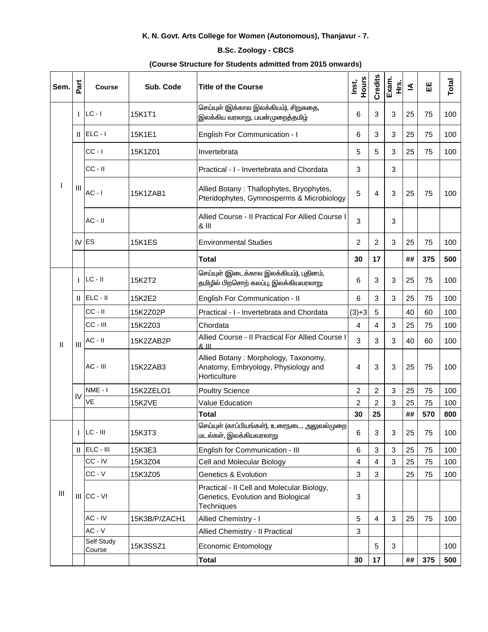## K. N. Govt. Arts College for Women (Autonomous), Thanjavur - 7.

## **B.Sc. Zoology - CBCS**

## (Course Structure for Students admitted from 2015 onwards)

| Sem.           | Part           | <b>Course</b>        | Sub. Code     | <b>Title of the Course</b>                                                                     | Hours<br>Inst,          | Credits        | Exam.<br>trs. | ≤  | 出   | Total |
|----------------|----------------|----------------------|---------------|------------------------------------------------------------------------------------------------|-------------------------|----------------|---------------|----|-----|-------|
| ı              | т              | $LC - I$             | 15K1T1        | செய்யுள் (இக்கால இலக்கியம்), சிறுகதை,<br>இலக்கிய வரலாறு, பயன்முறைத்தமிழ்                       | 6                       | $\mathbf{3}$   | 3             | 25 | 75  | 100   |
|                | Ш              | $ELC - I$            | 15K1E1        | English For Communication - I                                                                  | 6                       | 3              | 3             | 25 | 75  | 100   |
|                | Ш              | $CC - I$             | 15K1Z01       | Invertebrata                                                                                   | 5                       | 5              | 3             | 25 | 75  | 100   |
|                |                | $CC - II$            |               | Practical - I - Invertebrata and Chordata                                                      | 3                       |                | 3             |    |     |       |
|                |                | $AC - I$             | 15K1ZAB1      | Allied Botany: Thallophytes, Bryophytes,<br>Pteridophytes, Gymnosperms & Microbiology          | 5                       | 4              | 3             | 25 | 75  | 100   |
|                |                | $AC - II$            |               | Allied Course - Il Practical For Allied Course I<br>& III                                      | 3                       |                | 3             |    |     |       |
|                |                | $IV$ ES              | <b>15K1ES</b> | <b>Environmental Studies</b>                                                                   | $\overline{2}$          | $\overline{2}$ | 3             | 25 | 75  | 100   |
|                |                |                      |               | <b>Total</b>                                                                                   | 30                      | 17             |               | ## | 375 | 500   |
|                |                | $LC - II$            | 15K2T2        | செய்யுள் (இடைக்கால இலக்கியம்), புதினம்,<br>தமிழில் பிறசொற் கலப்பு, இலக்கியவரலாறு               | 6                       | $\sqrt{3}$     | 3             | 25 | 75  | 100   |
|                | Ш              | ELC - II             | 15K2E2        | English For Communication - II                                                                 | 6                       | 3              | 3             | 25 | 75  | 100   |
|                |                | $CC - II$            | 15K2Z02P      | Practical - I - Invertebrata and Chordata                                                      | $(3)+3$                 | 5              |               | 40 | 60  | 100   |
|                |                | $CC - III$           | 15K2Z03       | Chordata                                                                                       | 4                       | $\overline{4}$ | 3             | 25 | 75  | 100   |
| Ш              | $\mathbf{III}$ | $AC - II$            | 15K2ZAB2P     | Allied Course - Il Practical For Allied Course I<br>& III                                      | 3                       | 3              | 3             | 40 | 60  | 100   |
|                |                | $AC - III$           | 15K2ZAB3      | Allied Botany: Morphology, Taxonomy,<br>Anatomy, Embryology, Physiology and<br>Horticulture    | 4                       | 3              | 3             | 25 | 75  | 100   |
|                | IV             | NME-I                | 15K2ZELO1     | <b>Poultry Science</b>                                                                         | 2                       | $\overline{2}$ | 3             | 25 | 75  | 100   |
|                |                | VE                   | <b>15K2VE</b> | Value Education                                                                                | 2                       | $\overline{2}$ | 3             | 25 | 75  | 100   |
|                |                |                      |               | <b>Total</b>                                                                                   | 30                      | 25             |               | ## | 570 | 800   |
| $\mathbf{III}$ |                | LC - III             | 15K3T3        | செய்யுள் (காப்பியங்கள்), உரைநடை, அலுவல்முறை<br>மடல்கள், இலக்கியவரலாறு                          | 6                       | $\sqrt{3}$     | 3             | 25 | 75  | 100   |
|                | Ш              | ELC - III            | 15K3E3        | English for Communication - III                                                                | 6                       | $\sqrt{3}$     | 3             | 25 | 75  | 100   |
|                |                | CC-IV                | 15K3Z04       | Cell and Molecular Biology                                                                     | $\overline{\mathbf{4}}$ | $\overline{4}$ | 3             | 25 | 75  | 100   |
|                |                | $CC - V$             | 15K3Z05       | <b>Genetics &amp; Evolution</b>                                                                | 3                       | 3              |               | 25 | 75  | 100   |
|                |                | $III$ CC - $VI$      |               | Practical - II Cell and Molecular Biology,<br>Genetics, Evolution and Biological<br>Techniques | 3                       |                |               |    |     |       |
|                |                | AC - IV              | 15K3B/P/ZACH1 | Allied Chemistry - I                                                                           | 5                       | $\overline{4}$ | 3             | 25 | 75  | 100   |
|                |                | $AC - V$             |               | Allied Chemistry - Il Practical                                                                | 3                       |                |               |    |     |       |
|                |                | Self Study<br>Course | 15K3SSZ1      | <b>Economic Entomology</b>                                                                     |                         | 5              | 3             |    |     | 100   |
|                |                |                      |               | <b>Total</b>                                                                                   | 30                      | 17             |               | ## | 375 | 500   |